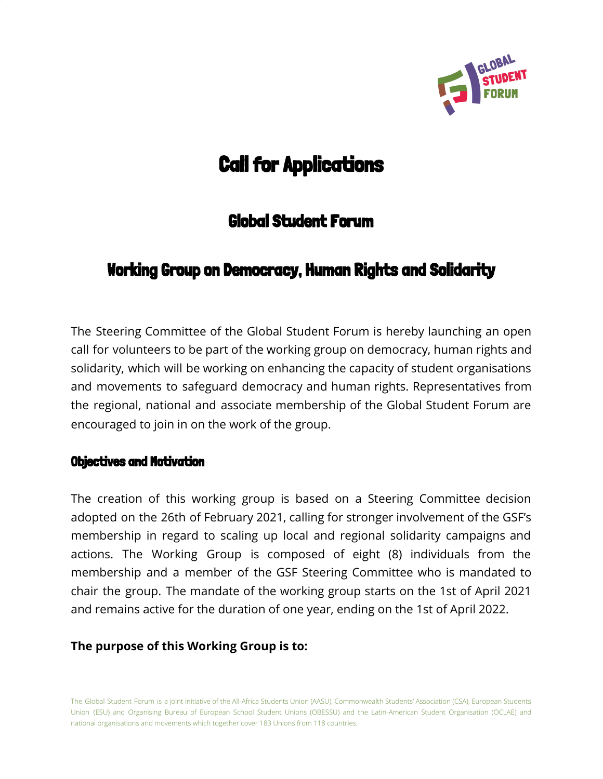

# Call for Applications

# Global Student Forum

# Working Group on Democracy, Human Rights and Solidarity

The Steering Committee of the Global Student Forum is hereby launching an open call for volunteers to be part of the working group on democracy, human rights and solidarity, which will be working on enhancing the capacity of student organisations and movements to safeguard democracy and human rights. Representatives from the regional, national and associate membership of the Global Student Forum are encouraged to join in on the work of the group.

#### Objectives and Motivation

The creation of this working group is based on a Steering Committee decision adopted on the 26th of February 2021, calling for stronger involvement of the GSF's membership in regard to scaling up local and regional solidarity campaigns and actions. The Working Group is composed of eight (8) individuals from the membership and a member of the GSF Steering Committee who is mandated to chair the group. The mandate of the working group starts on the 1st of April 2021 and remains active for the duration of one year, ending on the 1st of April 2022.

#### **The purpose of this Working Group is to:**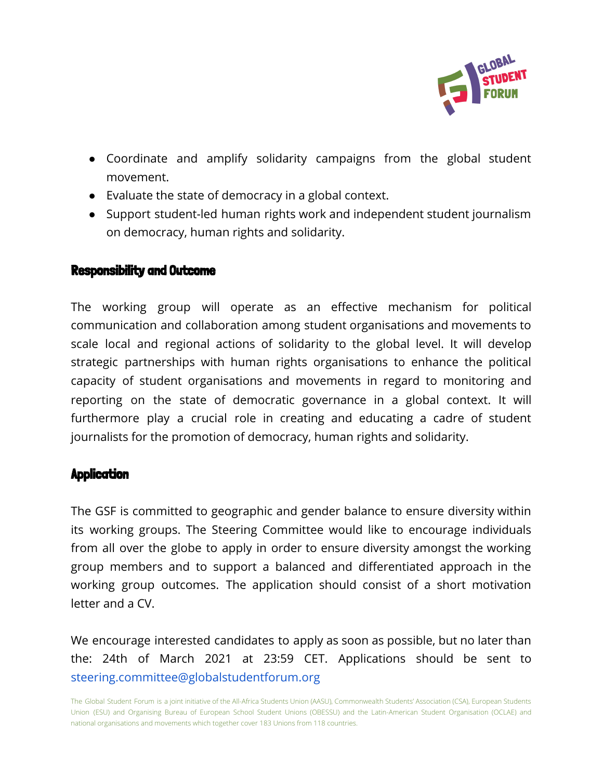

- Coordinate and amplify solidarity campaigns from the global student movement.
- Evaluate the state of democracy in a global context.
- Support student-led human rights work and independent student journalism on democracy, human rights and solidarity.

## Responsibility and Outcome

The working group will operate as an effective mechanism for political communication and collaboration among student organisations and movements to scale local and regional actions of solidarity to the global level. It will develop strategic partnerships with human rights organisations to enhance the political capacity of student organisations and movements in regard to monitoring and reporting on the state of democratic governance in a global context. It will furthermore play a crucial role in creating and educating a cadre of student journalists for the promotion of democracy, human rights and solidarity.

## **Application**

The GSF is committed to geographic and gender balance to ensure diversity within its working groups. The Steering Committee would like to encourage individuals from all over the globe to apply in order to ensure diversity amongst the working group members and to support a balanced and differentiated approach in the working group outcomes. The application should consist of a short motivation letter and a CV.

We encourage interested candidates to apply as soon as possible, but no later than the: 24th of March 2021 at 23:59 CET. Applications should be sent to steering.committee@globalstudentforum.org

The Global Student Forum is a joint initiative of the All-Africa Students Union (AASU), Commonwealth Students' Association (CSA), European Students Union (ESU) and Organising Bureau of European School Student Unions (OBESSU) and the Latin-American Student Organisation (OCLAE) and national organisations and movements which together cover 183 Unions from 118 countries.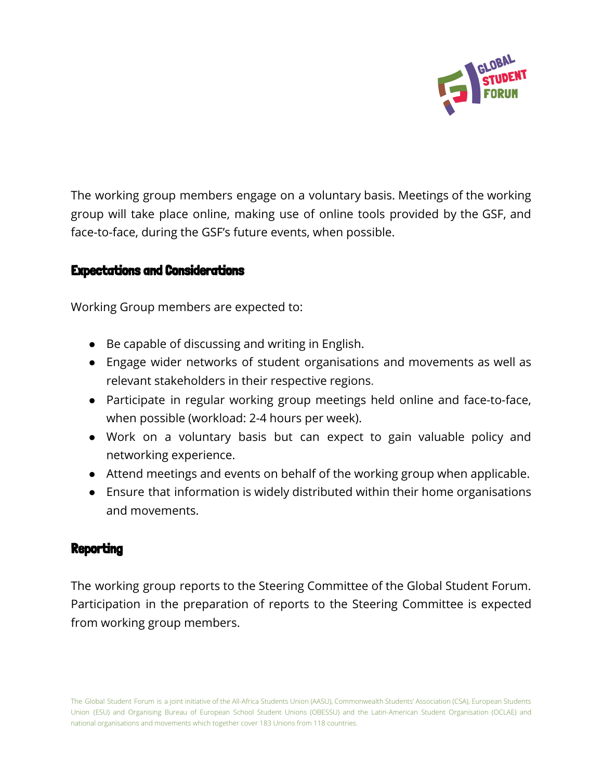

The working group members engage on a voluntary basis. Meetings of the working group will take place online, making use of online tools provided by the GSF, and face-to-face, during the GSF's future events, when possible.

#### Expectations and Considerations

Working Group members are expected to:

- Be capable of discussing and writing in English.
- Engage wider networks of student organisations and movements as well as relevant stakeholders in their respective regions.
- Participate in regular working group meetings held online and face-to-face, when possible (workload: 2-4 hours per week).
- Work on a voluntary basis but can expect to gain valuable policy and networking experience.
- Attend meetings and events on behalf of the working group when applicable.
- Ensure that information is widely distributed within their home organisations and movements.

#### **Reporting**

The working group reports to the Steering Committee of the Global Student Forum. Participation in the preparation of reports to the Steering Committee is expected from working group members.